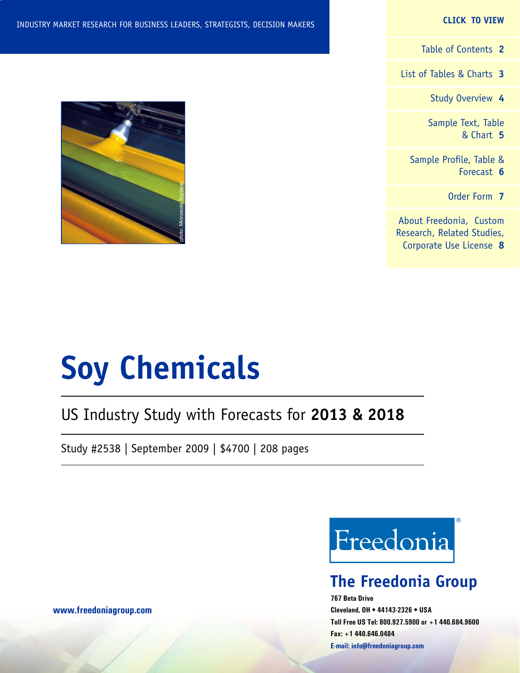#### **CLICK TO VIEW**

[Table of Contents](#page-1-0) **2**

[List of Tables & Charts](#page-2-0) **3**

[Study Overview](#page-3-0) **4**

[Sample Text, Table](#page-4-0) [& Chart](#page-4-0) **5**

[Sample Profile, Table &](#page-5-0) [Forecast](#page-5-0) **6**

[Order Form](#page-6-0) **7**

[About Freedonia, Custom](#page-7-0) [Research, Related Studies,](#page-7-0) [Corporate Use License](#page-7-0) **8**



# **Soy Chemicals**

# US Industry Study with Forecasts for **2013 & 2018**

Study #2538 | September 2009 | \$4700 | 208 pages



# **The Freedonia Group**

**767 Beta Drive Cleveland, OH • 44143-2326 • USA Toll Free US Tel: 800.927.5900 or +1 440.684.9600 Fax: +1 440.646.0484 E-mail: [info@freedoniagroup.com](mailto:info@freedoniagroup.com)**

**[www.freedoniagroup.com](http://www.freedoniagroup.com/Home.aspx?ReferrerId=FM-Bro)**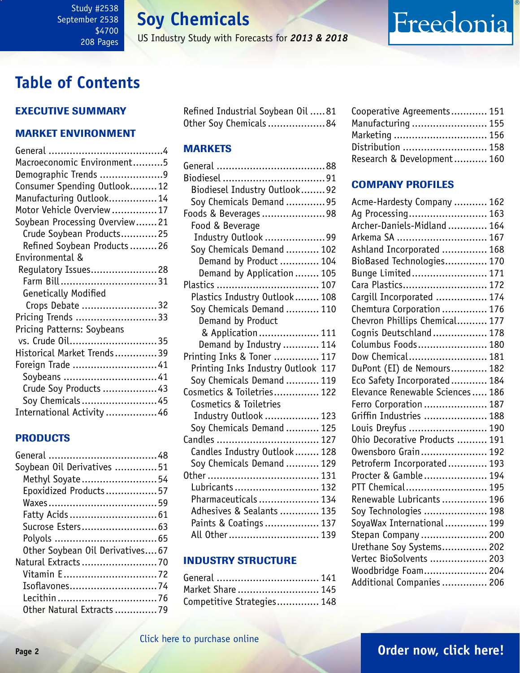**Soy Chemicals**

US Industry Study with Forecasts for *2013 & 2018*

# <span id="page-1-0"></span>**Table of Contents**

## Executive Summary

### Market EnvironmenT

| Macroeconomic Environment5    |
|-------------------------------|
| Demographic Trends 9          |
| Consumer Spending Outlook12   |
| Manufacturing Outlook 14      |
| Motor Vehicle Overview17      |
| Soybean Processing Overview21 |
| Crude Soybean Products25      |
| Refined Soybean Products26    |
| Environmental &               |
| Regulatory Issues 28          |
| Farm Bill31                   |
| Genetically Modified          |
| Crops Debate 32               |
| Pricing Trends 33             |
| Pricing Patterns: Soybeans    |
| vs. Crude 0il35               |
| Historical Market Trends39    |
| Foreign Trade 41              |
| Soybeans  41                  |
| Crude Soy Products  43        |
| Soy Chemicals  45             |
| International Activity 46     |

### PRODUCTS

| Refined Industrial Soybean Oil 81 |  |
|-----------------------------------|--|
| Other Soy Chemicals 84            |  |

### **MARKETS**

| Biodiesel Industry Outlook92       |  |
|------------------------------------|--|
| Soy Chemicals Demand 95            |  |
| Foods & Beverages98                |  |
| Food & Beverage                    |  |
| Industry Outlook 99                |  |
| Soy Chemicals Demand  102          |  |
| Demand by Product  104             |  |
| Demand by Application  105         |  |
| Plastics                           |  |
| Plastics Industry Outlook 108      |  |
| Soy Chemicals Demand  110          |  |
| Demand by Product                  |  |
| & Application 111                  |  |
| Demand by Industry  114            |  |
| Printing Inks & Toner  117         |  |
| Printing Inks Industry Outlook 117 |  |
| Soy Chemicals Demand  119          |  |
| Cosmetics & Toiletries 122         |  |
| Cosmetics & Toiletries             |  |
| Industry Outlook  123              |  |
| Soy Chemicals Demand  125          |  |
| Candles<br>127                     |  |
| Candles Industry Outlook  128      |  |
| Soy Chemicals Demand  129          |  |
|                                    |  |
| Lubricants  132                    |  |
| Pharmaceuticals  134               |  |
| Adhesives & Sealants  135          |  |
| Paints & Coatings  137             |  |
| All Other 139                      |  |

### INDUSTRY STRUCTURE

| General  141               |  |
|----------------------------|--|
| Market Share  145          |  |
| Competitive Strategies 148 |  |

| Cooperative Agreements 151 |  |
|----------------------------|--|
| Manufacturing  155         |  |
| Marketing  156             |  |
| Distribution  158          |  |
| Research & Development 160 |  |

Freedonia

### Company Profiles

| Acme-Hardesty Company  162      |
|---------------------------------|
| Ag Processing 163               |
| Archer-Daniels-Midland  164     |
| Arkema SA  167                  |
| Ashland Incorporated  168       |
| BioBased Technologies 170       |
| Bunge Limited 171               |
| Cara Plastics 172               |
| Carqill Incorporated  174       |
| Chemtura Corporation  176       |
| Chevron Phillips Chemical 177   |
| Cognis Deutschland  178         |
| Columbus Foods 180              |
| Dow Chemical 181                |
| DuPont (EI) de Nemours 182      |
| Eco Safety Incorporated 184     |
| Elevance Renewable Sciences 186 |
| Ferro Corporation  187          |
| Griffin Industries  188         |
| Louis Dreyfus  190              |
| Ohio Decorative Products  191   |
| Owensboro Grain 192             |
| Petroferm Incorporated 193      |
| Procter & Gamble 194            |
| PTT Chemical 195                |
| Renewable Lubricants  196       |
| Soy Technologies  198           |
| SoyaWax International 199       |
| Stepan Company  200             |
| Urethane Soy Systems 202        |
| Vertec BioSolvents  203         |
| Woodbridge Foam 204             |
| Additional Companies  206       |

## [Click here to purchase online](http://www.freedoniagroup.com/DocumentDetails.aspx?Referrerid=FM-Bro&StudyID=2538)

## **Page 2 [Order now, click here!](#page-6-0)**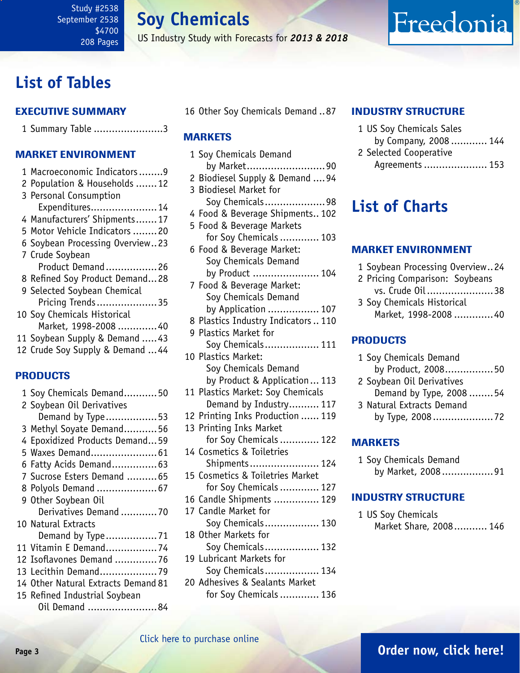**Soy Chemicals**

US Industry Study with Forecasts for *2013 & 2018*

# <span id="page-2-0"></span>**List of Tables**

### Executive Summary

|  |  |  | 1 Summary Table 3 |  |
|--|--|--|-------------------|--|
|--|--|--|-------------------|--|

### Market EnvironmenT

| 1 Macroeconomic Indicators9      |
|----------------------------------|
| 2 Population & Households  12    |
| 3 Personal Consumption           |
| Expenditures 14                  |
| 4 Manufacturers' Shipments17     |
| 5 Motor Vehicle Indicators 20    |
| 6 Soybean Processing Overview23  |
| 7 Crude Soybean                  |
| Product Demand26                 |
| 8 Refined Soy Product Demand28   |
| 9 Selected Soybean Chemical      |
| Pricing Trends 35                |
| 10 Soy Chemicals Historical      |
| Market, 1998-2008 40             |
| 11 Soybean Supply & Demand  43   |
| 12 Crude Soy Supply & Demand  44 |
|                                  |
| <b>PRODUCTS</b>                  |
| 1 Soy Chemicals Demand50         |
| 2 Soybean Oil Derivatives        |
| Demand by Type53                 |

| 3 Methyl Soyate Demand 56           |
|-------------------------------------|
| 4 Epoxidized Products Demand59      |
| 5 Waxes Demand 61                   |
| 6 Fatty Acids Demand 63             |
| 7 Sucrose Esters Demand 65          |
| 8 Polyols Demand  67                |
| 9 Other Soybean Oil                 |
| Derivatives Demand 70               |
| 10 Natural Extracts                 |
|                                     |
| 11 Vitamin E Demand74               |
| 12 Isoflavones Demand 76            |
| 13 Lecithin Demand79                |
| 14 Other Natural Extracts Demand 81 |
| 15 Refined Industrial Soybean       |

Oil Demand .......................84

16 Other Soy Chemicals Demand ..87

### **MARKETS**

| 1 Soy Chemicals Demand              |
|-------------------------------------|
| by Market90                         |
| 2 Biodiesel Supply & Demand  94     |
| 3 Biodiesel Market for              |
| Soy Chemicals98                     |
| 4 Food & Beverage Shipments 102     |
| 5 Food & Beverage Markets           |
| for Soy Chemicals  103              |
| 6 Food & Beverage Market:           |
| Soy Chemicals Demand                |
| by Product  104                     |
| 7 Food & Beverage Market:           |
| Soy Chemicals Demand                |
| by Application  107                 |
| 8 Plastics Industry Indicators  110 |
| 9 Plastics Market for               |
| Soy Chemicals 111                   |
| 10 Plastics Market:                 |
| Soy Chemicals Demand                |
| by Product & Application 113        |
| 11 Plastics Market: Soy Chemicals   |
| Demand by Industry 117              |
| 12 Printing Inks Production  119    |
| 13 Printing Inks Market             |
| for Soy Chemicals  122              |
| 14 Cosmetics & Toiletries           |
| Shipments 124                       |
| 15 Cosmetics & Toiletries Market    |
| for Soy Chemicals  127              |
| 16 Candle Shipments  129            |
| 17 Candle Market for                |
| Soy Chemicals 130                   |
| 18 Other Markets for                |
| Soy Chemicals 132                   |

- 19 Lubricant Markets for Soy Chemicals.................. 134
- 20 Adhesives & Sealants Market for Soy Chemicals............. 136

### INDUSTRY STRUCTURE

- 1 US Soy Chemicals Sales
- by Company, 2008 ............ 144

Freedonia

2 Selected Cooperative Agreements..................... 153

# **List of Charts**

### Market EnvironmenT

- 1 Soybean Processing Overview..24
- 2 Pricing Comparison: Soybeans vs. Crude Oil ......................38
- 3 Soy Chemicals Historical Market, 1998-2008 .............40

### PRODUCTS

| 1 Soy Chemicals Demand       |  |
|------------------------------|--|
| by Product, 200850           |  |
| 2 Soybean Oil Derivatives    |  |
| <b>D</b> 1 <b>L</b> T. 0.000 |  |

- Demand by Type, 2008 ........54 3 Natural Extracts Demand
- by Type, 2008 ....................72

### MARKETS

1 Soy Chemicals Demand by Market, 2008 .................91

### INDUSTRY STRUCTURE

1 US Soy Chemicals Market Share, 2008........... 146

# **Page 3 [Order now, click here!](#page-6-0)**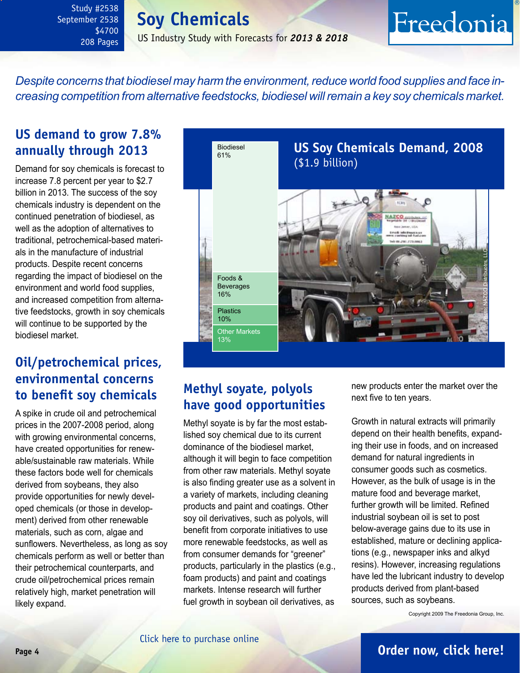# **Soy Chemicals**

US Industry Study with Forecasts for *2013 & 2018*

# Freedonia

<span id="page-3-0"></span>*Despite concerns that biodiesel may harm the environment, reduce world food supplies and face increasing competition from alternative feedstocks, biodiesel will remain a key soy chemicals market.*

# **US demand to grow 7.8% annually through 2013**

Demand for soy chemicals is forecast to increase 7.8 percent per year to \$2.7 billion in 2013. The success of the soy chemicals industry is dependent on the continued penetration of biodiesel, as well as the adoption of alternatives to traditional, petrochemical-based materials in the manufacture of industrial products. Despite recent concerns regarding the impact of biodiesel on the environment and world food supplies, and increased competition from alternative feedstocks, growth in soy chemicals will continue to be supported by the biodiesel market.

# **Oil/petrochemical prices, environmental concerns to benefit soy chemicals**

A spike in crude oil and petrochemical prices in the 2007-2008 period, along with growing environmental concerns, have created opportunities for renewable/sustainable raw materials. While these factors bode well for chemicals derived from soybeans, they also provide opportunities for newly developed chemicals (or those in development) derived from other renewable materials, such as corn, algae and sunflowers. Nevertheless, as long as soy chemicals perform as well or better than their petrochemical counterparts, and crude oil/petrochemical prices remain relatively high, market penetration will likely expand.



# **Methyl soyate, polyols have good opportunities**

Methyl soyate is by far the most established soy chemical due to its current dominance of the biodiesel market, although it will begin to face competition from other raw materials. Methyl soyate is also finding greater use as a solvent in a variety of markets, including cleaning products and paint and coatings. Other soy oil derivatives, such as polyols, will benefit from corporate initiatives to use more renewable feedstocks, as well as from consumer demands for "greener" products, particularly in the plastics (e.g., foam products) and paint and coatings markets. Intense research will further fuel growth in soybean oil derivatives, as

new products enter the market over the next five to ten years.

Growth in natural extracts will primarily depend on their health benefits, expanding their use in foods, and on increased demand for natural ingredients in consumer goods such as cosmetics. However, as the bulk of usage is in the mature food and beverage market, further growth will be limited. Refined industrial soybean oil is set to post below-average gains due to its use in established, mature or declining applications (e.g., newspaper inks and alkyd resins). However, increasing regulations have led the lubricant industry to develop products derived from plant-based sources, such as soybeans.

Copyright 2009 The Freedonia Group, Inc.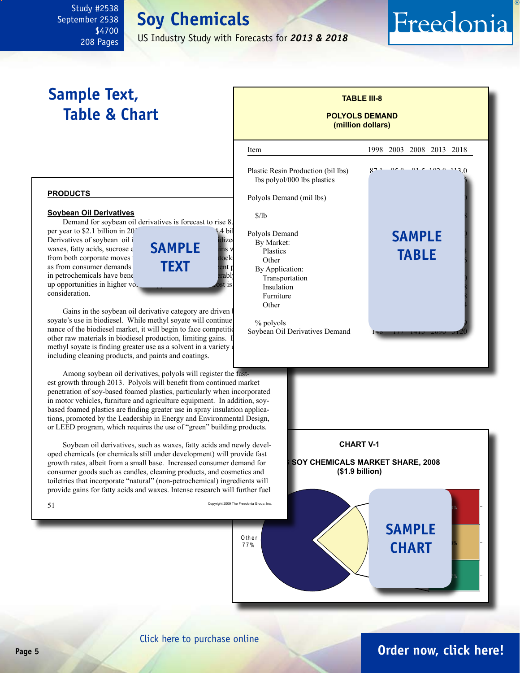# **Soy Chemicals**

US Industry Study with Forecasts for *2013 & 2018*

# <span id="page-4-0"></span>**Sample Text, Table & Chart**

## **TABLE III-8 POLYOLS DEMAND (million dollars)**

Freedonia

#### **PRODUCTS**

#### **Soybean Oil Derivatives**

Demand for soybean oil derivatives is forecast to rise 8.

per year to \$2.1 billion in 20<sup>1</sup> and 1.4 billion polyols Demand Derivatives of soybean oil include methyl sources including the method of soyate, epoxidized products, epoxidize waxes, fatty acids, sucrose e $SAMPLE$  ins will be plastics from both corporate moves to use the renewable feeds of the renewable feeds of the renewable feeds of the renewable feeds of the renewable feeds of the renewable feeds of the renewable feeds of the renewable feeds of the r as from consumer demands **for FXT** pent in petrochemicals have benefit the sound sound sound sound sound sound sound sound sound sound sound sound sound sound sound sound sound sound sound sound sound sound sound sound sound sound sound sound sound sound sound s up opportunities in higher volume applications where cost is  $\sim$  ost is consideration.



Gains in the soybean oil derivative category are driven soyate's use in biodiesel. While methyl soyate will continue nance of the biodiesel market, it will begin to face competition other raw materials in biodiesel production, limiting gains. I methyl soyate is finding greater use as a solvent in a variety including cleaning products, and paints and coatings.

Among soybean oil derivatives, polyols will register the fastest growth through 2013. Polyols will benefit from continued market penetration of soy-based foamed plastics, particularly when incorporated in motor vehicles, furniture and agriculture equipment. In addition, soybased foamed plastics are finding greater use in spray insulation applications, promoted by the Leadership in Energy and Environmental Design, or LEED program, which requires the use of "green" building products.

Soybean oil derivatives, such as waxes, fatty acids and newly developed chemicals (or chemicals still under development) will provide fast growth rates, albeit from a small base. Increased consumer demand for consumer goods such as candles, cleaning products, and cosmetics and toiletries that incorporate "natural" (non-petrochemical) ingredients will provide gains for fatty acids and waxes. Intense research will further fuel

 $51$  Copyright 2009 The Freedonia Group, Inc.





### [Click here to purchase online](http://www.freedoniagroup.com/DocumentDetails.aspx?Referrerid=FM-Bro&StudyID=2538)

O th e r 7 7 %

# **Page 5 [Order now, click here!](#page-6-0)**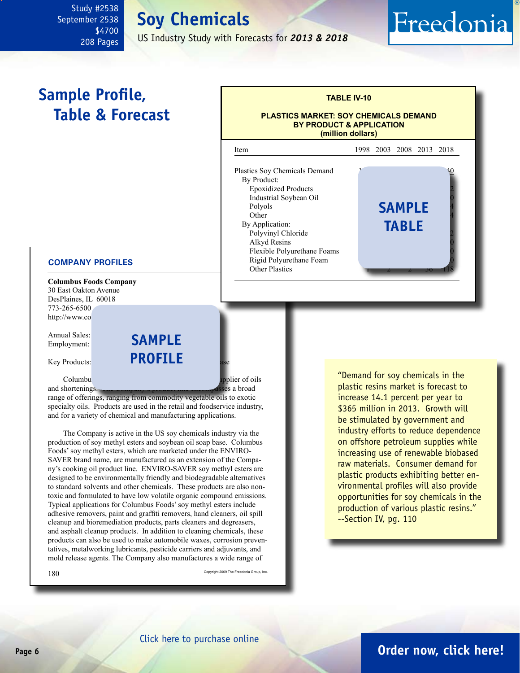# **Soy Chemicals**

US Industry Study with Forecasts for *2013 & 2018*

# <span id="page-5-0"></span>**Sample Profile, Table & Forecast**



#### **COMPANY PROFILES**

**Columbus Foods Company** 30 East Oakton Avenue DesPlaines, IL 60018 773-265-6500 http://www.co

Annual Sales: Employment:

Key Products:

**sample profile**

Foodumbus Foods is a privately held producer and supplier of oils

and shortenings. The Company's product line encompasses a broad range of offerings, ranging from commodity vegetable oils to exotic specialty oils. Products are used in the retail and foodservice industry, and for a variety of chemical and manufacturing applications.

The Company is active in the US soy chemicals industry via the production of soy methyl esters and soybean oil soap base. Columbus Foods' soy methyl esters, which are marketed under the ENVIRO-SAVER brand name, are manufactured as an extension of the Company's cooking oil product line. ENVIRO-SAVER soy methyl esters are designed to be environmentally friendly and biodegradable alternatives to standard solvents and other chemicals. These products are also nontoxic and formulated to have low volatile organic compound emissions. Typical applications for Columbus Foods' soy methyl esters include adhesive removers, paint and graffiti removers, hand cleaners, oil spill cleanup and bioremediation products, parts cleaners and degreasers, and asphalt cleanup products. In addition to cleaning chemicals, these products can also be used to make automobile waxes, corrosion preventatives, metalworking lubricants, pesticide carriers and adjuvants, and mold release agents. The Company also manufactures a wide range of

 $180$  Copyright 2009 The Freedonia Group, Inc.

"Demand for soy chemicals in the plastic resins market is forecast to increase 14.1 percent per year to \$365 million in 2013. Growth will be stimulated by government and industry efforts to reduce dependence on offshore petroleum supplies while increasing use of renewable biobased raw materials. Consumer demand for plastic products exhibiting better environmental profiles will also provide opportunities for soy chemicals in the production of various plastic resins." --Section IV, pg. 110

Freedonia

# **Page 6 [Order now, click here!](#page-6-0)**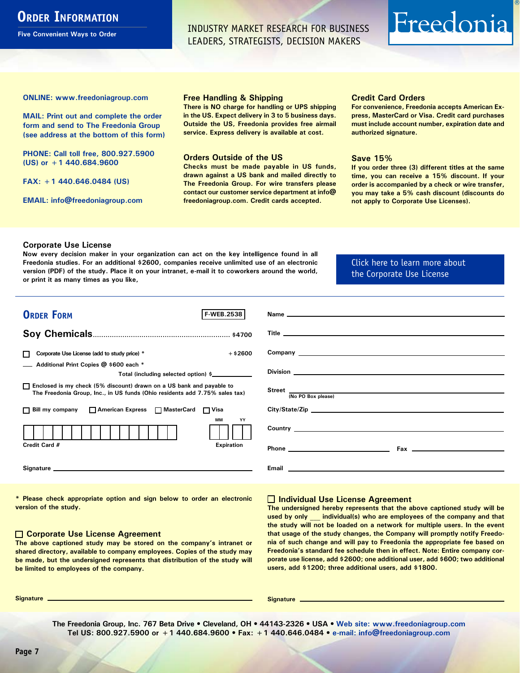# <span id="page-6-0"></span>**ORDER INFORMATION**

**Five Convenient Ways to Order**

INDUSTRY MARKET RESEARCH FOR BUSINESS LEADERS, STRATEGISTS, DECISION MAKERS

# Freedonia

**ONLINE: [www.freedoniagroup.com](http://www.freedoniagroup.com/DocumentDetails.aspx?Referrerid=FM-Bro&StudyID=2538)**

**MAIL: Print out and complete the order form and send to The Freedonia Group (see address at the bottom of this form)**

**PHONE: Call toll free, 800.927.5900 (US) or +1 440.684.9600**

**FAX: +1 440.646.0484 (US)**

**EMAIL: [info@freedoniagroup.com](mailto:info@freedoniagroup.com)**

#### **Free Handling & Shipping**

**There is NO charge for handling or UPS shipping in the US. Expect delivery in 3 to 5 business days. Outside the US, Freedonia provides free airmail service. Express delivery is available at cost.**

#### **Orders Outside of the US**

**Checks must be made payable in US funds, drawn against a US bank and mailed directly to The Freedonia Group. For wire transfers please contact our customer service department at info@ freedoniagroup.com. Credit cards accepted.**

#### **Credit Card Orders**

**For convenience, Freedonia accepts American Express, MasterCard or Visa. Credit card purchases must include account number, expiration date and authorized signature.**

#### **Save 15%**

**If you order three (3) different titles at the same time, you can receive a 15% discount. If your order is accompanied by a check or wire transfer, you may take a 5% cash discount (discounts do not apply to Corporate Use Licenses).**

#### **Corporate Use License**

**Now every decision maker in your organization can act on the key intelligence found in all Freedonia studies. For an additional \$2600, companies receive unlimited use of an electronic version (PDF) of the study. Place it on your intranet, e-mail it to coworkers around the world, or print it as many times as you like,** 

### [Click here to learn more about](http://www.freedoniagroup.com/pdf/FreedoniaCULBro.pdf)  [the Corporate Use License](http://www.freedoniagroup.com/pdf/FreedoniaCULBro.pdf)

| <b>ORDER FORM</b><br><b>F-WEB.2538</b>                                                                                                                                                                                         |                             |
|--------------------------------------------------------------------------------------------------------------------------------------------------------------------------------------------------------------------------------|-----------------------------|
|                                                                                                                                                                                                                                |                             |
|                                                                                                                                                                                                                                |                             |
| $+$ \$2600<br>Corporate Use License (add to study price) *                                                                                                                                                                     |                             |
| Additional Print Copies @ \$600 each *                                                                                                                                                                                         |                             |
| Total (including selected option) \$____________                                                                                                                                                                               |                             |
| □ Enclosed is my check (5% discount) drawn on a US bank and payable to<br>The Freedonia Group, Inc., in US funds (Ohio residents add 7.75% sales tax)                                                                          | Street<br>No PO Box please) |
|                                                                                                                                                                                                                                |                             |
| □ Bill my company □ American Express □ MasterCard □ Visa                                                                                                                                                                       |                             |
| <b>MM</b><br>YY                                                                                                                                                                                                                |                             |
| <b>Expiration</b><br>Credit Card #                                                                                                                                                                                             |                             |
| Signature experience and the state of the state of the state of the state of the state of the state of the state of the state of the state of the state of the state of the state of the state of the state of the state of th |                             |

**\* Please check appropriate option and sign below to order an electronic version of the study.**

#### **Corporate Use License Agreement**

**The above captioned study may be stored on the company's intranet or shared directory, available to company employees. Copies of the study may be made, but the undersigned represents that distribution of the study will be limited to employees of the company.**

#### **Individual Use License Agreement**

**The undersigned hereby represents that the above captioned study will be used by only \_\_\_ individual(s) who are employees of the company and that the study will not be loaded on a network for multiple users. In the event that usage of the study changes, the Company will promptly notify Freedonia of such change and will pay to Freedonia the appropriate fee based on Freedonia's standard fee schedule then in effect. Note: Entire company corporate use license, add \$2600; one additional user, add \$600; two additional users, add \$1200; three additional users, add \$1800.**

**Signature Signature**

**The Freedonia Group, Inc. 767 Beta Drive • Cleveland, OH • 44143-2326 • USA • [Web site: www.freedoniagroup.com](http://www.freedoniagroup.com/Home.aspx?ReferrerId=FM-Bro) Tel US: 800.927.5900 or +1 440.684.9600 • Fax: +1 440.646.0484 • [e-mail: info@freedoniagroup.com](mailto:info@freedoniagroup.com)**